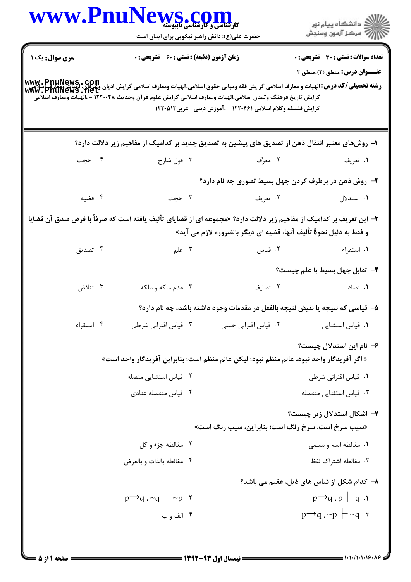|                | www.PnuNews.com<br><b>کارشناسی و کارشناسی ماپیوسته</b><br>حضرت علی(ع): دانش راهبر نیکویی برای ایمان است                                                                                                                                                                                  |                                                                   | انشگاه پيام نور)<br>استخاب پيام نور)                                           |
|----------------|------------------------------------------------------------------------------------------------------------------------------------------------------------------------------------------------------------------------------------------------------------------------------------------|-------------------------------------------------------------------|--------------------------------------------------------------------------------|
| سری سوال: یک ۱ | زمان آزمون (دقیقه) : تستی : 60 گشریحی : 0                                                                                                                                                                                                                                                |                                                                   | <b>تعداد سوالات : تستی : 30 ٪ تشریحی : 0</b>                                   |
|                | www . PnuNews,. Com<br>  <b>رشته تحصیلی/کد درس:</b> الهیات و معارف اسلامی گرایش فقه ومبانی حقوق اسلامی،الهیات ومعارف اسلامی گرایش وی این وی اسلام<br>  www . PnuNewS . Net<br>گرایش تاریخ فرهنگ وتمدن اسلامی،الهیات ومعارف اسلامی گرایش علوم قر آن وحدیث ۱۲۲۰۰۲۸ - ،الهیات ومعارف اسلامی | گرایش فلسفه وکلام اسلامی ۱۲۲۰۴۶۱ - ،آموزش دینی- عربی۱۲۲۰۵۱۲       | عنــوان درس: منطق (۲)،منطق ۲                                                   |
|                | ا– روشهای معتبر انتقال ذهن از تصدیق های پیشین به تصدیق جدید بر کدامیک از مفاهیم زیر دلالت دارد؟                                                                                                                                                                                          |                                                                   |                                                                                |
| ۰۴ حجت         | ۰۳ قول شارح                                                                                                                                                                                                                                                                              | ۰۲ معرِّف                                                         | ۱. تعریف                                                                       |
|                |                                                                                                                                                                                                                                                                                          |                                                                   | ۲- روش ذهن در برطرف کردن جهل بسیط تصوری چه نام دارد؟                           |
| ۰۴ قضیه        | ۰۳ حجت                                                                                                                                                                                                                                                                                   | ۰۲ تعریف                                                          | ۰۱ استدلال                                                                     |
|                | <b>۳</b> – این تعریف بر کدامیک از مفاهیم زیر دلالت دارد؟ «مجموعه ای از قضایای تألیف یافته است که صرفاً با فرض صدق آن قضایا                                                                                                                                                               | و فقط به دليل نحوة تأليف آنها، قضيه اي ديگر بالضروره لازم مي آيد» |                                                                                |
| ۰۴ تصدیق       | ۰۳ علم $\sim$                                                                                                                                                                                                                                                                            | ۰۲ قیاس                                                           | ۰۱ استقراء                                                                     |
|                |                                                                                                                                                                                                                                                                                          |                                                                   | ۴– تقابل جهل بسيط با علم چيست؟                                                 |
| ۰۴ تناقض       | ۰۳ عدم ملکه و ملکه                                                                                                                                                                                                                                                                       | ٠٢ تضايف                                                          | ۰۱ تضاد                                                                        |
|                |                                                                                                                                                                                                                                                                                          |                                                                   | ۵– قیاسی که نتیجه یا نقیض نتیجه بالفعل در مقدمات وجود داشته باشد، چه نام دارد؟ |
| ۰۴ استقراء     | ۰۳ قیاس اقترانی شرطی                                                                                                                                                                                                                                                                     | ۰۲ قیاس اقترانی حملی                                              | ۰۱ قیاس استثنایی                                                               |
|                | « اگر آفریدگار واحد نبود، عالم منظم نبود؛ لیکن عالم منظم است؛ بنابراین آفریدگار واحد است»                                                                                                                                                                                                |                                                                   | ۶– نام این استدلال چیست؟                                                       |
|                | ۰۲ قیاس استثنایی متصله                                                                                                                                                                                                                                                                   |                                                                   | ٠١ قياس اقتراني شرطي                                                           |
|                | ۰۴ قیاس منفصله عنادی                                                                                                                                                                                                                                                                     |                                                                   | ۰۳ قیاس استثنایی منفصله                                                        |
|                |                                                                                                                                                                                                                                                                                          | «سیب سرخ است. سرخ رنگ است؛ بنابراین، سیب رنگ است»                 | ۷– اشکال استدلال زیر چیست؟                                                     |
|                | ۰۲ مغالطه جزء و کل                                                                                                                                                                                                                                                                       |                                                                   | ۰۱ مغالطه اسم و مسمى                                                           |
|                | ۰۴ مغالطه بالذات و بالعرض                                                                                                                                                                                                                                                                |                                                                   | ۰۳ مغالطه اشتراک لفظ                                                           |
|                |                                                                                                                                                                                                                                                                                          |                                                                   | ٨– كدام شكل از قياس هاي ذيل، عقيم مي باشد؟                                     |
|                | $p \rightarrow q$ , ~q $\vdash$ ~p. r                                                                                                                                                                                                                                                    |                                                                   | $p \rightarrow q \cdot p$ – q.                                                 |
|                | ۰۴ الف و ب                                                                                                                                                                                                                                                                               |                                                                   | $p \rightarrow q \rightarrow p$ - $\sim q \rightarrow r$                       |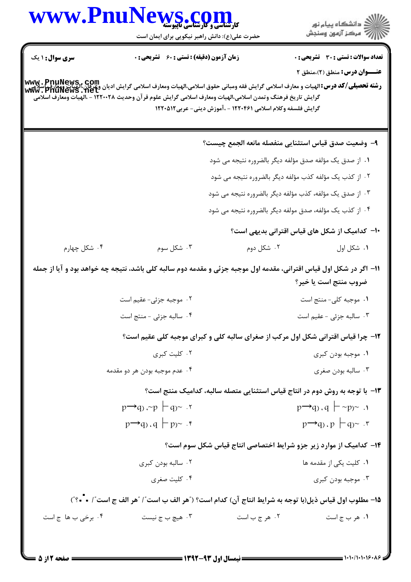|                        | WWW.PnuNews.com                                                                                                                                                                                                                                                            |                                                             |                                                                                  |
|------------------------|----------------------------------------------------------------------------------------------------------------------------------------------------------------------------------------------------------------------------------------------------------------------------|-------------------------------------------------------------|----------------------------------------------------------------------------------|
|                        | حضرت علی(ع): دانش راهبر نیکویی برای ایمان است                                                                                                                                                                                                                              |                                                             | ِ<br>∭ دانشڪاه پيام نور<br>∭ مرڪز آزمون وسنڊش                                    |
| <b>سری سوال : ۱ یک</b> | <b>زمان آزمون (دقیقه) : تستی : 60 ٪ تشریحی : 0</b>                                                                                                                                                                                                                         |                                                             | <b>تعداد سوالات : تستی : 30 ٪ تشریحی : 0</b>                                     |
|                        |                                                                                                                                                                                                                                                                            |                                                             | عنــوان درس: منطق (۲)،منطق ۲                                                     |
|                        | www . PnuNews , Com<br>سلامی این بینایی این بینای الهیات و معارف اسلامی گرایش فقه ومبانی حقوق اسلامی،الهیات ومعارف اسلامی گرایش ادیان<br>Www . PnuNews . net<br>گرایش تاریخ فرهنگ وتمدن اسلامی،الهیات ومعارف اسلامی گرایش علوم قر آن وحدیث ۱۲۲۰۰۲۸ - ،الهیات ومعارف اسلامی | گرایش فلسفه وکلام اسلامی ۱۲۲۰۴۶۱ - ،آموزش دینی- عربی۱۲۲۰۵۱۲ |                                                                                  |
|                        |                                                                                                                                                                                                                                                                            |                                                             | ٩- وضعيت صدق قياس استثنايي منفصله مانعه الجمع چيست؟                              |
|                        |                                                                                                                                                                                                                                                                            |                                                             | ١. از صدق یک مؤلفه صدق مؤلفه دیگر بالضروره نتیجه می شود                          |
|                        |                                                                                                                                                                                                                                                                            |                                                             | ۲. از کذب یک مؤلفه کذب مؤلفه دیگر بالضروره نتیجه می شود                          |
|                        |                                                                                                                                                                                                                                                                            |                                                             | ۰۳ از صدق یک مؤلفه، کذب مؤلفه دیگر بالضروره نتیجه می شود                         |
|                        |                                                                                                                                                                                                                                                                            |                                                             | ۰۴ از کذب یک مؤلفه، صدق مولفه دیگر بالضروره نتیجه می شود                         |
|                        |                                                                                                                                                                                                                                                                            |                                                             | ∙ا− کدامیک از شکل های قیاس اقترانی بدیهی است؟                                    |
| ۰۴ شکل چهارم           | ۰۳ شکل سوم                                                                                                                                                                                                                                                                 | ۰۲ شکل دوم                                                  | ۰۱ شکل اول                                                                       |
|                        | 11- اگر در شکل اول قیاس اقترانی، مقدمه اول موجبه جزئی و مقدمه دوم سالبه کلی باشد، نتیجه چه خواهد بود و آیا از جمله                                                                                                                                                         |                                                             | ضروب منتج است یا خیر؟                                                            |
|                        | ۰۲ موجبه جزئی- عقیم است                                                                                                                                                                                                                                                    |                                                             | ۰۱ موجبه کلی- منتج است                                                           |
|                        | ۰ <sup>۴</sup> سالبه جزئی - منتج است                                                                                                                                                                                                                                       |                                                             | ۰۲ سالبه جزئی - عقیم است                                                         |
|                        |                                                                                                                                                                                                                                                                            |                                                             | ۱۲- چرا قیاس اقترانی شکل اول مرکب از صغرای سالبه کلی و کبرای موجبه کلی عقیم است؟ |
|                        | ۰۲ کلیت کبری                                                                                                                                                                                                                                                               |                                                             | ۰۱ موجبه بودن کبری                                                               |
|                        | ۰۴ عدم موجبه بودن هر دو مقدمه                                                                                                                                                                                                                                              |                                                             | ۰۳ سالبه بودن صغرى                                                               |
|                        |                                                                                                                                                                                                                                                                            |                                                             | ۱۳- با توجه به روش دوم در انتاج قیاس استثنایی متصله سالبه، کدامیک منتج است؟      |
|                        | $p \rightarrow q$ , ~p $\vdash q$ . $\vdash$                                                                                                                                                                                                                               |                                                             | $p \rightarrow q$ , $q \mid \neg p \sim \neg p$                                  |
|                        | $p \rightarrow q$ , $q \mid p$ $\sim$ .                                                                                                                                                                                                                                    |                                                             | $p \rightarrow q$ , $p \mid q$ $\sim$ $\cdot$ $\cdot$                            |
|                        |                                                                                                                                                                                                                                                                            |                                                             | ۱۴– کدامیک از موارد زیر جزو شرایط اختصاصی انتاج قیاس شکل سوم است؟                |
|                        | ۰۲ سالبه بودن کبری                                                                                                                                                                                                                                                         |                                                             | ۰۱ کلیت یکی از مقدمه ها                                                          |
|                        | ۰۴ کلیت صغری                                                                                                                                                                                                                                                               |                                                             | ۰۳ موجبه بودن کبری                                                               |
|                        | 1۵– مطلوب اول قياس ذيل(با توجه به شرايط انتاج آن) كدام است؟ ( ٌهر الف ب است ؒ /   ٌهر الف ج است ؒ / • - ؟ ؒ)                                                                                                                                                               |                                                             |                                                                                  |
| ۰۴ برخی ب ها ج است     | ۰۳ هیچ ب ج نیست                                                                                                                                                                                                                                                            | ۰۲ هر ج ب است                                               | ۰۱ هر ب ج است                                                                    |
|                        |                                                                                                                                                                                                                                                                            |                                                             |                                                                                  |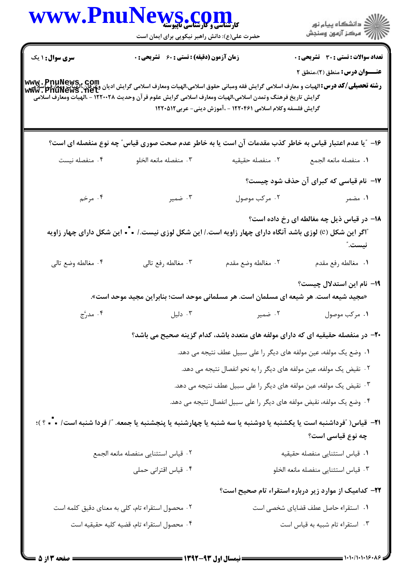| www.Pnu                                                                                                                                                                                   | کارشناسی و کارشناسی باپیوسته<br>حضرت علی(ع): دانش راهبر نیکویی برای ایمان است                                               |                                                             | ڪ دانشڪاه پيام نور<br>∕7 مرڪز آزمون وسنڊش                                       |
|-------------------------------------------------------------------------------------------------------------------------------------------------------------------------------------------|-----------------------------------------------------------------------------------------------------------------------------|-------------------------------------------------------------|---------------------------------------------------------------------------------|
| <b>سری سوال :</b> ۱ یک                                                                                                                                                                    | <b>زمان آزمون (دقیقه) : تستی : 60 ٪ تشریحی : 0</b>                                                                          |                                                             | تعداد سوالات : تستى : 30 ٪ تشريحي : 0                                           |
| <b>www . PnuNews , com</b><br>ر <b>شته تحصیلی/کد درس:</b> الهیات و معارف اسلامی گرایش فقه ومبانی حقوق اسلامی،الهیات ومعارف اسلامی گرایش ادیان وعرفان،الهیات ویعارف<br>Www . PnuNewS . Net | گرایش تاریخ فرهنگ وتمدن اسلامی،الهیات ومعارف اسلامی گرایش علوم قرآن وحدیث ۱۲۲۰۰۲۸ - ،الهیات ومعارف اسلامی                   | گرایش فلسفه وکلام اسلامی ۱۲۲۰۴۶۱ - ،آموزش دینی- عربی۱۲۲۰۵۱۲ | <b>عنـــوان درس:</b> منطق (۲).منطق ۲                                            |
|                                                                                                                                                                                           | ۱۶– "یا عدم اعتبار قیاس به خاطر کذب مقدمات آن است یا به خاطر عدم صحت صوری قیاس" چه نوع منفصله ای است؟                       |                                                             |                                                                                 |
| ۰۴ منفصله نيست                                                                                                                                                                            | ۰۳ منفصله مانعه الخلو                                                                                                       | ٠٢ منفصله حقيقيه                                            | ٠١. منفصله مانعه الجمع                                                          |
|                                                                                                                                                                                           |                                                                                                                             |                                                             | ۱۷- نام قیاسی که کبرای آن حذف شود چیست؟                                         |
| ۰۴ مرخم                                                                                                                                                                                   | ۰۳ ضمیر                                                                                                                     | ۰۲ مرکب موصول                                               | ۰۱ مضمر                                                                         |
|                                                                                                                                                                                           | آگر این شکل (e) لوزی باشد آنگاه دارای چهار زاویه است./ این شکل لوزی نیست./ = - ا این شکل دارای چهار زاویه                   |                                                             | <b>۱۸</b> - در قیاس ذیل چه مغالطه ای رخ داده است؟<br>نيست."                     |
| ۰۴ مغالطه وضع تالي                                                                                                                                                                        | ۰۳ مغالطه رفع تالي                                                                                                          | ٢. مغالطه وضع مقدم                                          | ٠١ مغالطه رفع مقدم                                                              |
|                                                                                                                                                                                           | «مجید شیعه است. هر شیعه ای مسلمان است. هر مسلمانی موحد است؛ بنابراین مجید موحد است».                                        |                                                             | 1۹– نام این استدلال چیست؟                                                       |
| ۰۴ مدرَّج                                                                                                                                                                                 | ۰۳ دلیل                                                                                                                     | ۰۲ ضمیر                                                     | ۰۱ مرکب موصول                                                                   |
|                                                                                                                                                                                           |                                                                                                                             |                                                             | +۲- در منفصله حقیقیه ای که دارای مولفه های متعدد باشد، کدام گزینه صحیح می باشد؟ |
|                                                                                                                                                                                           |                                                                                                                             |                                                             | ۰۱ وضع یک مولفه، عین مولفه های دیگر را علی سبیل عطف نتیجه می دهد.               |
|                                                                                                                                                                                           |                                                                                                                             |                                                             | ۰۲ نقیض یک مولفه، عین مولفه های دیگر را به نحو انفصال نتیجه می دهد.             |
|                                                                                                                                                                                           |                                                                                                                             |                                                             | ۰۳ نقیض یک مولفه، عین مولفه های دیگر را علی سبیل عطف نتیجه می دهد.              |
|                                                                                                                                                                                           |                                                                                                                             |                                                             | ۰۴ وضع یک مولفه، نقیض مولفه های دیگر را علی سبیل انفصال نتیجه می دهد.           |
|                                                                                                                                                                                           | <b>۳۱</b> − قیاس( ″فرداشنبه است یا یکشنبه یا دوشنبه یا سه شنبه یا چهارشنبه یا پنجشنبه یا جمعه. ″/ فردا شنبه است/ • • • ؟ )؛ |                                                             | چه نوع قیاسی است؟                                                               |
|                                                                                                                                                                                           | ٠٢ قياس استثنايي منفصله مانعه الجمع                                                                                         |                                                             | ٠١ قياس استثنايي منفصله حقيقيه                                                  |
|                                                                                                                                                                                           | ۰۴ قیاس اقترانی حملی                                                                                                        |                                                             | ٠٣ قياس استثنايي منفصله مانعه الخلو                                             |
|                                                                                                                                                                                           |                                                                                                                             |                                                             | ۲۲– کدامیک از موارد زیر درباره استقراء تام صحیح است؟                            |
|                                                                                                                                                                                           | ۰۲ محصول استقراء تام، کلی به معنای دقیق کلمه است                                                                            |                                                             | ٠١ استقراء حاصل عطف قضاياى شخصى است                                             |
|                                                                                                                                                                                           | ۰۴ محصول استقراء تام، قضيه كليه حقيقيه است                                                                                  |                                                             | ٠٣ استقراء تام شبيه به قياس است                                                 |
| $11''$ define $=$                                                                                                                                                                         |                                                                                                                             |                                                             |                                                                                 |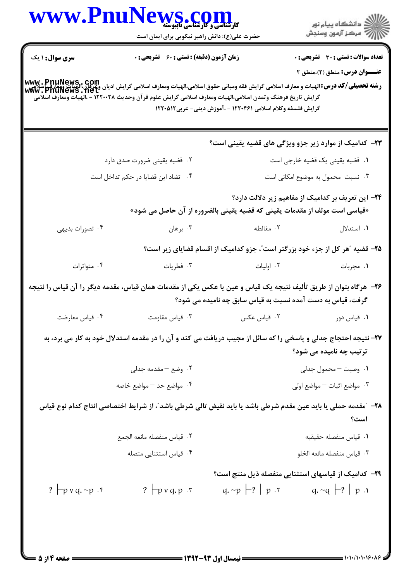|                                    | WWW.PnuNews.com<br>حضرت علی(ع): دانش راهبر نیکویی برای ایمان است                                                                                                                                                                                                                    |                                                                           | ر دانشگاه پيام نور<br>ا∛ مرکز آزمون وسنجش                                   |
|------------------------------------|-------------------------------------------------------------------------------------------------------------------------------------------------------------------------------------------------------------------------------------------------------------------------------------|---------------------------------------------------------------------------|-----------------------------------------------------------------------------|
| <b>سری سوال : ۱ یک</b>             | <b>زمان آزمون (دقیقه) : تستی : 60 ٪ تشریحی : 0</b>                                                                                                                                                                                                                                  |                                                                           | <b>تعداد سوالات : تستی : 30 ٪ تشریحی : 0</b>                                |
|                                    | www . PnuNews,. com<br><b>رشته تحصیلی/کد درس:</b> الهیات و معارف اسلامی گرایش فقه ومبانی حقوق اسلامی،الهیات ومعارف اسلامی گرایش ادیان وعوی این<br>Www . PnuNewS . Net<br>گرایش تاریخ فرهنگ وتمدن اسلامی،الهیات ومعارف اسلامی گرایش علوم قر آن وحدیث ۱۲۲۰۰۲۸ - ،الهیات ومعارف اسلامی | گرایش فلسفه وکلام اسلامی ۱۲۲۰۴۶۱ - ،آموزش دینی- عربی۱۲۲۰۵۱۲               | <b>عنـــوان درس:</b> منطق (۲)،منطق ۲                                        |
|                                    |                                                                                                                                                                                                                                                                                     |                                                                           | <b>۲۳</b> – کدامیک از موارد زیر جزو ویژگی های قضیه یقینی است؟               |
|                                    | ۰۲ قضیه یقینی ضرورت صدق دارد                                                                                                                                                                                                                                                        | ۰۱ قضیه یقینی یک قضیه خارجی است                                           |                                                                             |
| ۰۴ تضاد این قضایا در حکم تداخل است |                                                                                                                                                                                                                                                                                     | ۰۳ نسبت محمول به موضوع امکانی است                                         |                                                                             |
|                                    |                                                                                                                                                                                                                                                                                     | «قیاسی است مولف از مقدمات یقینی که قضیه یقینی بالضروره از آن حاصل می شود» | ۲۴- این تعریف بر کدامیک از مفاهیم زیر دلالت دارد؟                           |
| ۰۴ تصورات بديهي                    |                                                                                                                                                                                                                                                                                     | ۲. مغالطه هسمت است برهان                                                  | ۰۱ استدلال                                                                  |
|                                    |                                                                                                                                                                                                                                                                                     |                                                                           | ۲۵- قضیه ″هر کل از جزء خود بزرگتر است″، جزو کدامیک از اقسام قضایای زیر است؟ |
| ۰۴ متواترات                        | ۰۳ فطریات                                                                                                                                                                                                                                                                           | ۰۲ اولیات                                                                 | ۰۱ مجربات                                                                   |
|                                    | ۲۶– هرگاه بتوان از طریق تألیف نتیجه یک قیاس و عین یا عکس یکی از مقدمات همان قیاس، مقدمه دیگر را آن قیاس را نتیجه                                                                                                                                                                    | گرفت، قیاس به دست آمده نسبت به قیاس سابق چه نامیده می شود؟                |                                                                             |
| ۰۴ قیاس معارضت                     | ۰۳ قیاس مقاومت                                                                                                                                                                                                                                                                      | ٠٢ قياس عكس                                                               | ۰۱ قیاس دور                                                                 |
|                                    | ۲۷– نتیجه احتجاج جدلی و پاسخی را که سائل از مجیب دریافت می کند و آن را در مقدمه استدلال خود به کار می برد، به                                                                                                                                                                       |                                                                           | ترتیب چه نامیده می شود؟                                                     |
|                                    | ۰۲ وضع – مقدمه جدلی                                                                                                                                                                                                                                                                 |                                                                           | ۰۱ وصیت – محمول جدلی                                                        |
|                                    | ۰۴ مواضع حد – مواضع خاصه                                                                                                                                                                                                                                                            |                                                                           | ۰۳ مواضع اثبات – مواضع اولی                                                 |
|                                    | ۲۸– "مقدمه حملی یا باید عین مقدم شرطی باشد یا باید نقیض تالی شرطی باشد"، از شرایط اختصاصی انتاج کدام نوع قیاس                                                                                                                                                                       |                                                                           | است؟                                                                        |
|                                    | ٠٢ قياس منفصله مانعه الجمع                                                                                                                                                                                                                                                          |                                                                           | ٠١ قياس منفصله حقيقيه                                                       |
|                                    | ۰۴ قیاس استثنایی متصله                                                                                                                                                                                                                                                              |                                                                           | ۰۳ قياس منفصله مانعه الخلو                                                  |
| ? $\Box p$ v q, ~p .f              | ? $\neg p \vee q \cdot p \cdot r$                                                                                                                                                                                                                                                   | $q_i \sim p$   $\mid p \mid r$   $q_i \sim q$   $\mid r \mid p \mid r$    | <b>۲۹</b> – کدامیک از قیاسهای استثنایی منفصله ذیل منتج است؟                 |
|                                    |                                                                                                                                                                                                                                                                                     |                                                                           |                                                                             |